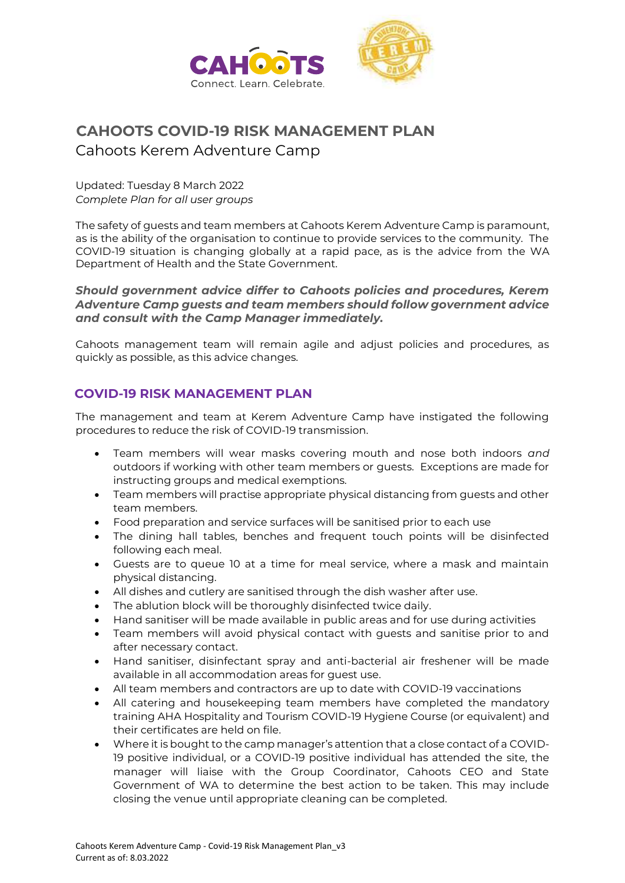

# **CAHOOTS COVID-19 RISK MANAGEMENT PLAN**  Cahoots Kerem Adventure Camp

Updated: Tuesday 8 March 2022 *Complete Plan for all user groups*

The safety of guests and team members at Cahoots Kerem Adventure Camp is paramount, as is the ability of the organisation to continue to provide services to the community. The COVID-19 situation is changing globally at a rapid pace, as is the advice from the WA Department of Health and the State Government.

*Should government advice differ to Cahoots policies and procedures, Kerem Adventure Camp guests and team members should follow government advice and consult with the Camp Manager immediately.* 

Cahoots management team will remain agile and adjust policies and procedures, as quickly as possible, as this advice changes.

#### **COVID-19 RISK MANAGEMENT PLAN**

The management and team at Kerem Adventure Camp have instigated the following procedures to reduce the risk of COVID-19 transmission.

- Team members will wear masks covering mouth and nose both indoors *and* outdoors if working with other team members or guests. Exceptions are made for instructing groups and medical exemptions.
- Team members will practise appropriate physical distancing from guests and other team members.
- Food preparation and service surfaces will be sanitised prior to each use
- The dining hall tables, benches and frequent touch points will be disinfected following each meal.
- Guests are to queue 10 at a time for meal service, where a mask and maintain physical distancing.
- All dishes and cutlery are sanitised through the dish washer after use.
- The ablution block will be thoroughly disinfected twice daily.
- Hand sanitiser will be made available in public areas and for use during activities
- Team members will avoid physical contact with guests and sanitise prior to and after necessary contact.
- Hand sanitiser, disinfectant spray and anti-bacterial air freshener will be made available in all accommodation areas for guest use.
- All team members and contractors are up to date with COVID-19 vaccinations
- All catering and housekeeping team members have completed the mandatory training AHA Hospitality and Tourism COVID-19 Hygiene Course (or equivalent) and their certificates are held on file.
- Where it is bought to the camp manager's attention that a close contact of a COVID-19 positive individual, or a COVID-19 positive individual has attended the site, the manager will liaise with the Group Coordinator, Cahoots CEO and State Government of WA to determine the best action to be taken. This may include closing the venue until appropriate cleaning can be completed.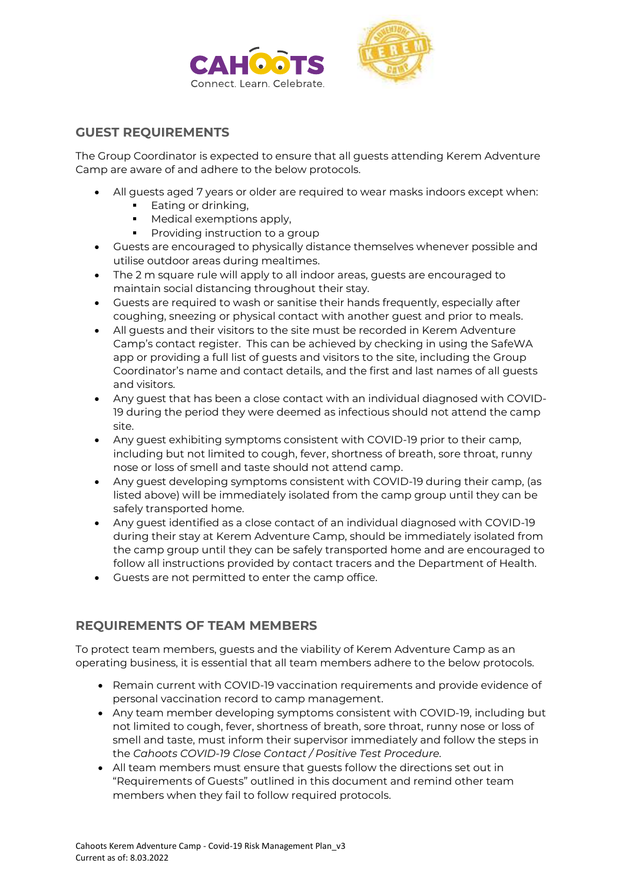



### **GUEST REQUIREMENTS**

The Group Coordinator is expected to ensure that all guests attending Kerem Adventure Camp are aware of and adhere to the below protocols.

- All guests aged 7 years or older are required to wear masks indoors except when:
	- Eating or drinking,
	- Medical exemptions apply,
	- Providing instruction to a group
- Guests are encouraged to physically distance themselves whenever possible and utilise outdoor areas during mealtimes.
- The 2 m square rule will apply to all indoor areas, guests are encouraged to maintain social distancing throughout their stay.
- Guests are required to wash or sanitise their hands frequently, especially after coughing, sneezing or physical contact with another guest and prior to meals.
- All guests and their visitors to the site must be recorded in Kerem Adventure Camp's contact register. This can be achieved by checking in using the SafeWA app or providing a full list of guests and visitors to the site, including the Group Coordinator's name and contact details, and the first and last names of all guests and visitors.
- Any guest that has been a close contact with an individual diagnosed with COVID-19 during the period they were deemed as infectious should not attend the camp site.
- Any guest exhibiting symptoms consistent with COVID-19 prior to their camp, including but not limited to cough, fever, shortness of breath, sore throat, runny nose or loss of smell and taste should not attend camp.
- Any guest developing symptoms consistent with COVID-19 during their camp, (as listed above) will be immediately isolated from the camp group until they can be safely transported home.
- Any guest identified as a close contact of an individual diagnosed with COVID-19 during their stay at Kerem Adventure Camp, should be immediately isolated from the camp group until they can be safely transported home and are encouraged to follow all instructions provided by contact tracers and the Department of Health.
- Guests are not permitted to enter the camp office.

## **REQUIREMENTS OF TEAM MEMBERS**

To protect team members, guests and the viability of Kerem Adventure Camp as an operating business, it is essential that all team members adhere to the below protocols.

- Remain current with COVID-19 vaccination requirements and provide evidence of personal vaccination record to camp management.
- Any team member developing symptoms consistent with COVID-19, including but not limited to cough, fever, shortness of breath, sore throat, runny nose or loss of smell and taste, must inform their supervisor immediately and follow the steps in the *Cahoots COVID-19 Close Contact / Positive Test Procedure.*
- All team members must ensure that guests follow the directions set out in "Requirements of Guests" outlined in this document and remind other team members when they fail to follow required protocols.